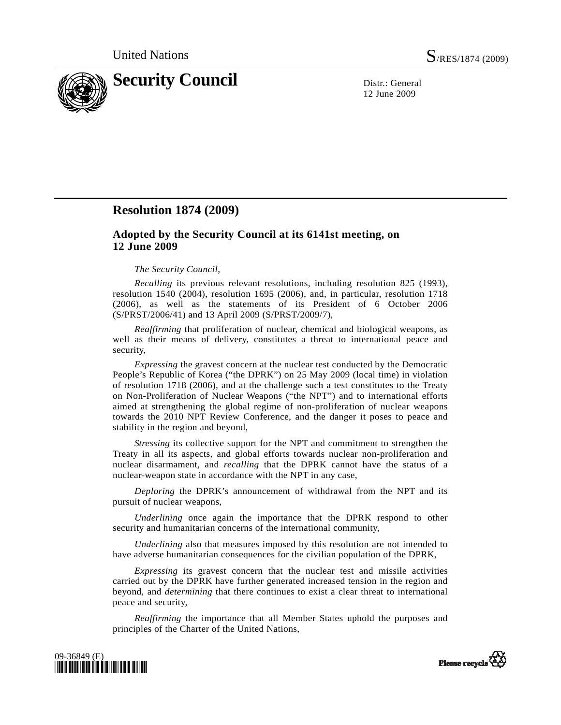

12 June 2009

## **Resolution 1874 (2009)**

## **Adopted by the Security Council at its 6141st meeting, on 12 June 2009**

## *The Security Council*,

*Recalling* its previous relevant resolutions, including resolution 825 (1993), resolution 1540 (2004), resolution 1695 (2006), and, in particular, resolution 1718 (2006), as well as the statements of its President of 6 October 2006 (S/PRST/2006/41) and 13 April 2009 (S/PRST/2009/7),

*Reaffirming* that proliferation of nuclear, chemical and biological weapons, as well as their means of delivery, constitutes a threat to international peace and security,

*Expressing* the gravest concern at the nuclear test conducted by the Democratic People's Republic of Korea ("the DPRK") on 25 May 2009 (local time) in violation of resolution 1718 (2006), and at the challenge such a test constitutes to the Treaty on Non-Proliferation of Nuclear Weapons ("the NPT") and to international efforts aimed at strengthening the global regime of non-proliferation of nuclear weapons towards the 2010 NPT Review Conference, and the danger it poses to peace and stability in the region and beyond,

*Stressing* its collective support for the NPT and commitment to strengthen the Treaty in all its aspects, and global efforts towards nuclear non-proliferation and nuclear disarmament, and *recalling* that the DPRK cannot have the status of a nuclear-weapon state in accordance with the NPT in any case,

*Deploring* the DPRK's announcement of withdrawal from the NPT and its pursuit of nuclear weapons,

*Underlining* once again the importance that the DPRK respond to other security and humanitarian concerns of the international community,

*Underlining* also that measures imposed by this resolution are not intended to have adverse humanitarian consequences for the civilian population of the DPRK,

*Expressing* its gravest concern that the nuclear test and missile activities carried out by the DPRK have further generated increased tension in the region and beyond, and *determining* that there continues to exist a clear threat to international peace and security,

*Reaffirming* the importance that all Member States uphold the purposes and principles of the Charter of the United Nations,



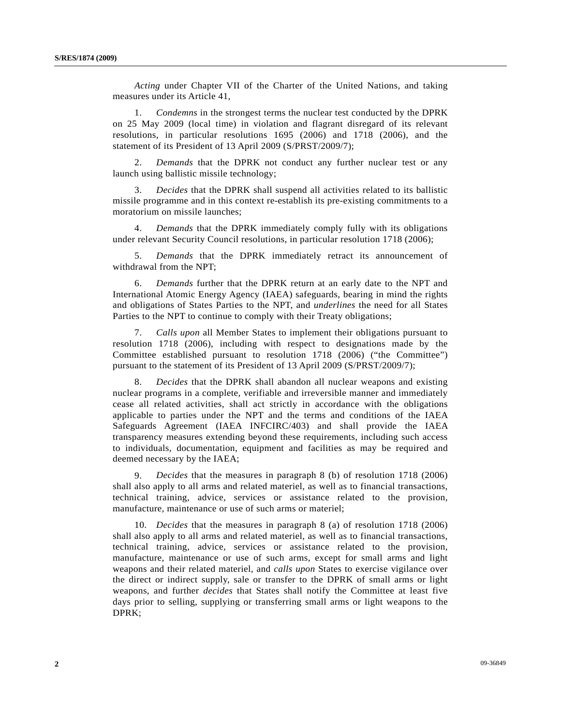*Acting* under Chapter VII of the Charter of the United Nations, and taking measures under its Article 41,

 1. *Condemns* in the strongest terms the nuclear test conducted by the DPRK on 25 May 2009 (local time) in violation and flagrant disregard of its relevant resolutions, in particular resolutions 1695 (2006) and 1718 (2006), and the statement of its President of 13 April 2009 (S/PRST/2009/7);

 2. *Demands* that the DPRK not conduct any further nuclear test or any launch using ballistic missile technology;

 3. *Decides* that the DPRK shall suspend all activities related to its ballistic missile programme and in this context re-establish its pre-existing commitments to a moratorium on missile launches;

 4. *Demands* that the DPRK immediately comply fully with its obligations under relevant Security Council resolutions, in particular resolution 1718 (2006);

 5. *Demands* that the DPRK immediately retract its announcement of withdrawal from the NPT;

 6. *Demands* further that the DPRK return at an early date to the NPT and International Atomic Energy Agency (IAEA) safeguards, bearing in mind the rights and obligations of States Parties to the NPT, and *underlines* the need for all States Parties to the NPT to continue to comply with their Treaty obligations;

 7. *Calls upon* all Member States to implement their obligations pursuant to resolution 1718 (2006), including with respect to designations made by the Committee established pursuant to resolution 1718 (2006) ("the Committee") pursuant to the statement of its President of 13 April 2009 (S/PRST/2009/7);

 8. *Decides* that the DPRK shall abandon all nuclear weapons and existing nuclear programs in a complete, verifiable and irreversible manner and immediately cease all related activities, shall act strictly in accordance with the obligations applicable to parties under the NPT and the terms and conditions of the IAEA Safeguards Agreement (IAEA INFCIRC/403) and shall provide the IAEA transparency measures extending beyond these requirements, including such access to individuals, documentation, equipment and facilities as may be required and deemed necessary by the IAEA;

 9. *Decides* that the measures in paragraph 8 (b) of resolution 1718 (2006) shall also apply to all arms and related materiel, as well as to financial transactions, technical training, advice, services or assistance related to the provision, manufacture, maintenance or use of such arms or materiel;

 10. *Decides* that the measures in paragraph 8 (a) of resolution 1718 (2006) shall also apply to all arms and related materiel, as well as to financial transactions, technical training, advice, services or assistance related to the provision, manufacture, maintenance or use of such arms, except for small arms and light weapons and their related materiel, and *calls upon* States to exercise vigilance over the direct or indirect supply, sale or transfer to the DPRK of small arms or light weapons, and further *decides* that States shall notify the Committee at least five days prior to selling, supplying or transferring small arms or light weapons to the DPRK;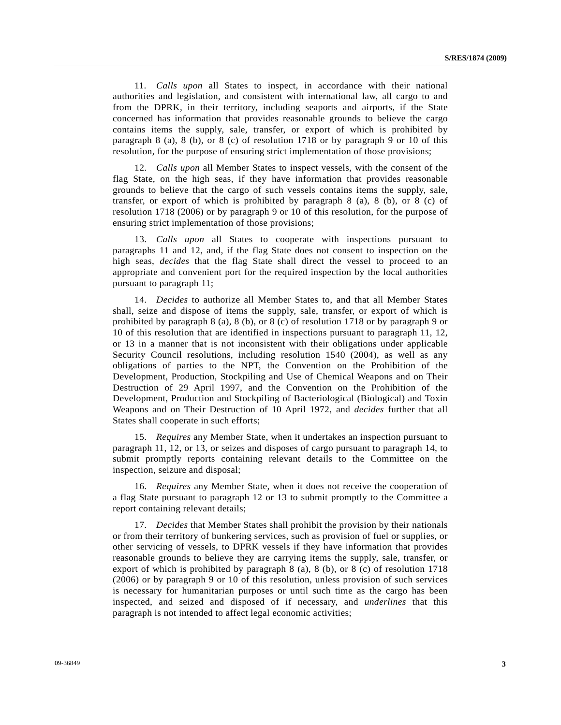11. *Calls upon* all States to inspect, in accordance with their national authorities and legislation, and consistent with international law, all cargo to and from the DPRK, in their territory, including seaports and airports, if the State concerned has information that provides reasonable grounds to believe the cargo contains items the supply, sale, transfer, or export of which is prohibited by paragraph 8 (a), 8 (b), or 8 (c) of resolution 1718 or by paragraph 9 or 10 of this resolution, for the purpose of ensuring strict implementation of those provisions;

 12. *Calls upon* all Member States to inspect vessels, with the consent of the flag State, on the high seas, if they have information that provides reasonable grounds to believe that the cargo of such vessels contains items the supply, sale, transfer, or export of which is prohibited by paragraph 8 (a), 8 (b), or 8 (c) of resolution 1718 (2006) or by paragraph 9 or 10 of this resolution, for the purpose of ensuring strict implementation of those provisions;

 13. *Calls upon* all States to cooperate with inspections pursuant to paragraphs 11 and 12, and, if the flag State does not consent to inspection on the high seas, *decides* that the flag State shall direct the vessel to proceed to an appropriate and convenient port for the required inspection by the local authorities pursuant to paragraph 11;

 14. *Decides* to authorize all Member States to, and that all Member States shall, seize and dispose of items the supply, sale, transfer, or export of which is prohibited by paragraph 8 (a), 8 (b), or 8 (c) of resolution 1718 or by paragraph 9 or 10 of this resolution that are identified in inspections pursuant to paragraph 11, 12, or 13 in a manner that is not inconsistent with their obligations under applicable Security Council resolutions, including resolution 1540 (2004), as well as any obligations of parties to the NPT, the Convention on the Prohibition of the Development, Production, Stockpiling and Use of Chemical Weapons and on Their Destruction of 29 April 1997, and the Convention on the Prohibition of the Development, Production and Stockpiling of Bacteriological (Biological) and Toxin Weapons and on Their Destruction of 10 April 1972, and *decides* further that all States shall cooperate in such efforts;

 15. *Requires* any Member State, when it undertakes an inspection pursuant to paragraph 11, 12, or 13, or seizes and disposes of cargo pursuant to paragraph 14, to submit promptly reports containing relevant details to the Committee on the inspection, seizure and disposal;

 16. *Requires* any Member State, when it does not receive the cooperation of a flag State pursuant to paragraph 12 or 13 to submit promptly to the Committee a report containing relevant details;

 17. *Decides* that Member States shall prohibit the provision by their nationals or from their territory of bunkering services, such as provision of fuel or supplies, or other servicing of vessels, to DPRK vessels if they have information that provides reasonable grounds to believe they are carrying items the supply, sale, transfer, or export of which is prohibited by paragraph 8 (a), 8 (b), or 8 (c) of resolution 1718 (2006) or by paragraph 9 or 10 of this resolution, unless provision of such services is necessary for humanitarian purposes or until such time as the cargo has been inspected, and seized and disposed of if necessary, and *underlines* that this paragraph is not intended to affect legal economic activities;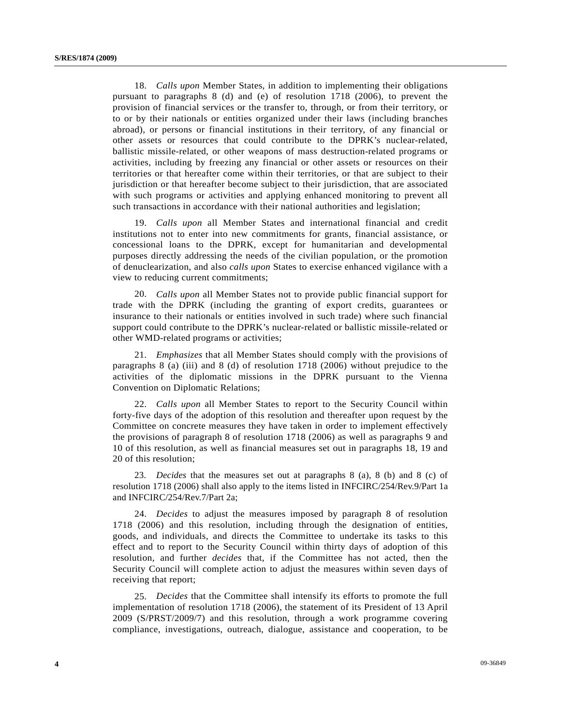18. *Calls upon* Member States, in addition to implementing their obligations pursuant to paragraphs 8 (d) and (e) of resolution 1718 (2006), to prevent the provision of financial services or the transfer to, through, or from their territory, or to or by their nationals or entities organized under their laws (including branches abroad), or persons or financial institutions in their territory, of any financial or other assets or resources that could contribute to the DPRK's nuclear-related, ballistic missile-related, or other weapons of mass destruction-related programs or activities, including by freezing any financial or other assets or resources on their territories or that hereafter come within their territories, or that are subject to their jurisdiction or that hereafter become subject to their jurisdiction, that are associated with such programs or activities and applying enhanced monitoring to prevent all such transactions in accordance with their national authorities and legislation;

 19. *Calls upon* all Member States and international financial and credit institutions not to enter into new commitments for grants, financial assistance, or concessional loans to the DPRK, except for humanitarian and developmental purposes directly addressing the needs of the civilian population, or the promotion of denuclearization, and also *calls upon* States to exercise enhanced vigilance with a view to reducing current commitments;

 20. *Calls upon* all Member States not to provide public financial support for trade with the DPRK (including the granting of export credits, guarantees or insurance to their nationals or entities involved in such trade) where such financial support could contribute to the DPRK's nuclear-related or ballistic missile-related or other WMD-related programs or activities;

 21. *Emphasizes* that all Member States should comply with the provisions of paragraphs 8 (a) (iii) and 8 (d) of resolution 1718 (2006) without prejudice to the activities of the diplomatic missions in the DPRK pursuant to the Vienna Convention on Diplomatic Relations;

 22. *Calls upon* all Member States to report to the Security Council within forty-five days of the adoption of this resolution and thereafter upon request by the Committee on concrete measures they have taken in order to implement effectively the provisions of paragraph 8 of resolution 1718 (2006) as well as paragraphs 9 and 10 of this resolution, as well as financial measures set out in paragraphs 18, 19 and 20 of this resolution;

 23. *Decides* that the measures set out at paragraphs 8 (a), 8 (b) and 8 (c) of resolution 1718 (2006) shall also apply to the items listed in INFCIRC/254/Rev.9/Part 1a and INFCIRC/254/Rev.7/Part 2a;

 24. *Decides* to adjust the measures imposed by paragraph 8 of resolution 1718 (2006) and this resolution, including through the designation of entities, goods, and individuals, and directs the Committee to undertake its tasks to this effect and to report to the Security Council within thirty days of adoption of this resolution, and further *decides* that, if the Committee has not acted, then the Security Council will complete action to adjust the measures within seven days of receiving that report;

 25. *Decides* that the Committee shall intensify its efforts to promote the full implementation of resolution 1718 (2006), the statement of its President of 13 April 2009 (S/PRST/2009/7) and this resolution, through a work programme covering compliance, investigations, outreach, dialogue, assistance and cooperation, to be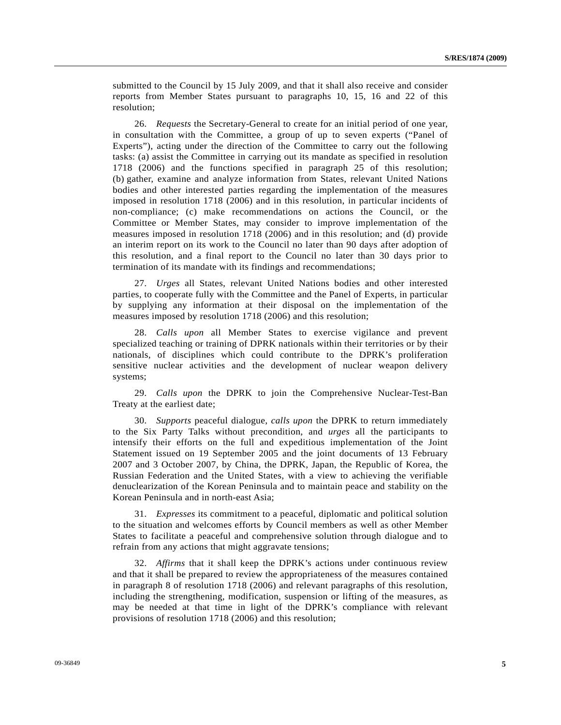submitted to the Council by 15 July 2009, and that it shall also receive and consider reports from Member States pursuant to paragraphs 10, 15, 16 and 22 of this resolution;

 26. *Requests* the Secretary-General to create for an initial period of one year, in consultation with the Committee, a group of up to seven experts ("Panel of Experts"), acting under the direction of the Committee to carry out the following tasks: (a) assist the Committee in carrying out its mandate as specified in resolution 1718 (2006) and the functions specified in paragraph 25 of this resolution; (b) gather, examine and analyze information from States, relevant United Nations bodies and other interested parties regarding the implementation of the measures imposed in resolution 1718 (2006) and in this resolution, in particular incidents of non-compliance; (c) make recommendations on actions the Council, or the Committee or Member States, may consider to improve implementation of the measures imposed in resolution 1718 (2006) and in this resolution; and (d) provide an interim report on its work to the Council no later than 90 days after adoption of this resolution, and a final report to the Council no later than 30 days prior to termination of its mandate with its findings and recommendations;

 27. *Urges* all States, relevant United Nations bodies and other interested parties, to cooperate fully with the Committee and the Panel of Experts, in particular by supplying any information at their disposal on the implementation of the measures imposed by resolution 1718 (2006) and this resolution;

 28. *Calls upon* all Member States to exercise vigilance and prevent specialized teaching or training of DPRK nationals within their territories or by their nationals, of disciplines which could contribute to the DPRK's proliferation sensitive nuclear activities and the development of nuclear weapon delivery systems;

 29. *Calls upon* the DPRK to join the Comprehensive Nuclear-Test-Ban Treaty at the earliest date;

 30. *Supports* peaceful dialogue, *calls upon* the DPRK to return immediately to the Six Party Talks without precondition, and *urges* all the participants to intensify their efforts on the full and expeditious implementation of the Joint Statement issued on 19 September 2005 and the joint documents of 13 February 2007 and 3 October 2007, by China, the DPRK, Japan, the Republic of Korea, the Russian Federation and the United States, with a view to achieving the verifiable denuclearization of the Korean Peninsula and to maintain peace and stability on the Korean Peninsula and in north-east Asia;

 31. *Expresses* its commitment to a peaceful, diplomatic and political solution to the situation and welcomes efforts by Council members as well as other Member States to facilitate a peaceful and comprehensive solution through dialogue and to refrain from any actions that might aggravate tensions;

 32. *Affirms* that it shall keep the DPRK's actions under continuous review and that it shall be prepared to review the appropriateness of the measures contained in paragraph 8 of resolution 1718 (2006) and relevant paragraphs of this resolution, including the strengthening, modification, suspension or lifting of the measures, as may be needed at that time in light of the DPRK's compliance with relevant provisions of resolution 1718 (2006) and this resolution;